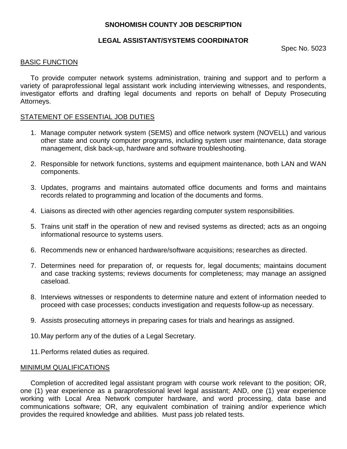# **SNOHOMISH COUNTY JOB DESCRIPTION**

#### **LEGAL ASSISTANT/SYSTEMS COORDINATOR**

Spec No. 5023

#### BASIC FUNCTION

To provide computer network systems administration, training and support and to perform a variety of paraprofessional legal assistant work including interviewing witnesses, and respondents, investigator efforts and drafting legal documents and reports on behalf of Deputy Prosecuting Attorneys.

#### STATEMENT OF ESSENTIAL JOB DUTIES

- 1. Manage computer network system (SEMS) and office network system (NOVELL) and various other state and county computer programs, including system user maintenance, data storage management, disk back-up, hardware and software troubleshooting.
- 2. Responsible for network functions, systems and equipment maintenance, both LAN and WAN components.
- 3. Updates, programs and maintains automated office documents and forms and maintains records related to programming and location of the documents and forms.
- 4. Liaisons as directed with other agencies regarding computer system responsibilities.
- 5. Trains unit staff in the operation of new and revised systems as directed; acts as an ongoing informational resource to systems users.
- 6. Recommends new or enhanced hardware/software acquisitions; researches as directed.
- 7. Determines need for preparation of, or requests for, legal documents; maintains document and case tracking systems; reviews documents for completeness; may manage an assigned caseload.
- 8. Interviews witnesses or respondents to determine nature and extent of information needed to proceed with case processes; conducts investigation and requests follow-up as necessary.
- 9. Assists prosecuting attorneys in preparing cases for trials and hearings as assigned.
- 10.May perform any of the duties of a Legal Secretary.
- 11.Performs related duties as required.

#### MINIMUM QUALIFICATIONS

Completion of accredited legal assistant program with course work relevant to the position; OR, one (1) year experience as a paraprofessional level legal assistant; AND, one (1) year experience working with Local Area Network computer hardware, and word processing, data base and communications software; OR, any equivalent combination of training and/or experience which provides the required knowledge and abilities. Must pass job related tests.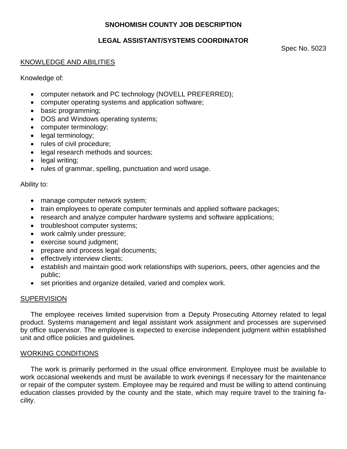# **SNOHOMISH COUNTY JOB DESCRIPTION**

# **LEGAL ASSISTANT/SYSTEMS COORDINATOR**

Spec No. 5023

#### KNOWLEDGE AND ABILITIES

Knowledge of:

- computer network and PC technology (NOVELL PREFERRED);
- computer operating systems and application software;
- basic programming;
- DOS and Windows operating systems;
- computer terminology;
- legal terminology;
- rules of civil procedure;
- legal research methods and sources;
- legal writing;
- rules of grammar, spelling, punctuation and word usage.

## Ability to:

- manage computer network system;
- train employees to operate computer terminals and applied software packages;
- research and analyze computer hardware systems and software applications;
- troubleshoot computer systems;
- work calmly under pressure;
- exercise sound judgment;
- prepare and process legal documents;
- **e** effectively interview clients;
- establish and maintain good work relationships with superiors, peers, other agencies and the public;
- set priorities and organize detailed, varied and complex work.

## **SUPERVISION**

The employee receives limited supervision from a Deputy Prosecuting Attorney related to legal product. Systems management and legal assistant work assignment and processes are supervised by office supervisor. The employee is expected to exercise independent judgment within established unit and office policies and guidelines.

## WORKING CONDITIONS

The work is primarily performed in the usual office environment. Employee must be available to work occasional weekends and must be available to work evenings if necessary for the maintenance or repair of the computer system. Employee may be required and must be willing to attend continuing education classes provided by the county and the state, which may require travel to the training facility.